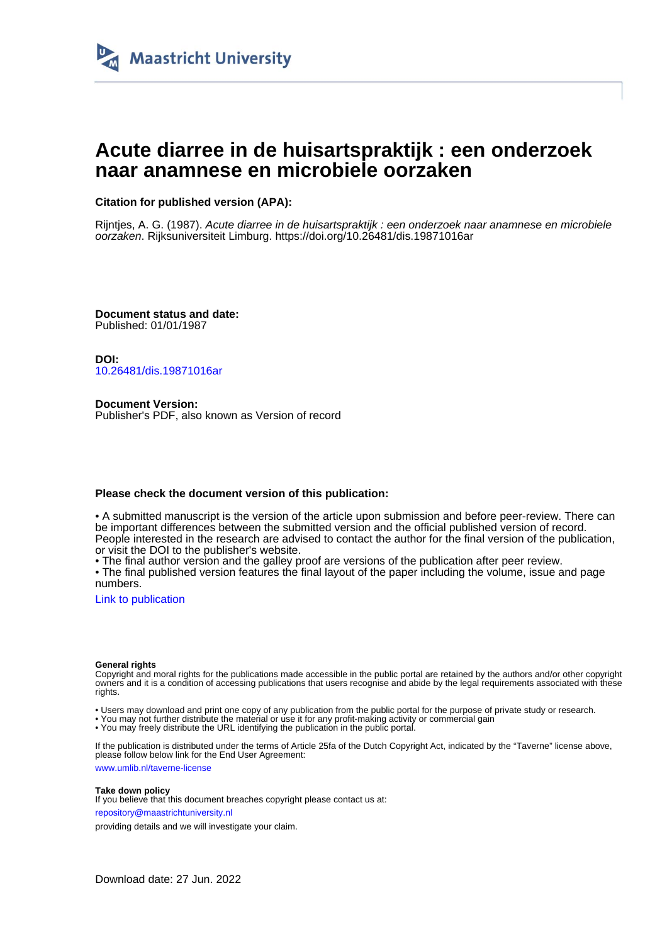

# **Acute diarree in de huisartspraktijk : een onderzoek naar anamnese en microbiele oorzaken**

## **Citation for published version (APA):**

Rijntjes, A. G. (1987). Acute diarree in de huisartspraktijk : een onderzoek naar anamnese en microbiele oorzaken. Rijksuniversiteit Limburg. <https://doi.org/10.26481/dis.19871016ar>

**Document status and date:** Published: 01/01/1987

**DOI:** [10.26481/dis.19871016ar](https://doi.org/10.26481/dis.19871016ar)

**Document Version:** Publisher's PDF, also known as Version of record

### **Please check the document version of this publication:**

• A submitted manuscript is the version of the article upon submission and before peer-review. There can be important differences between the submitted version and the official published version of record. People interested in the research are advised to contact the author for the final version of the publication, or visit the DOI to the publisher's website.

• The final author version and the galley proof are versions of the publication after peer review.

• The final published version features the final layout of the paper including the volume, issue and page numbers.

[Link to publication](https://cris.maastrichtuniversity.nl/en/publications/9cc8e37a-3a00-4cc8-9436-9b029e52badf)

#### **General rights**

Copyright and moral rights for the publications made accessible in the public portal are retained by the authors and/or other copyright owners and it is a condition of accessing publications that users recognise and abide by the legal requirements associated with these rights.

• Users may download and print one copy of any publication from the public portal for the purpose of private study or research.

• You may not further distribute the material or use it for any profit-making activity or commercial gain

• You may freely distribute the URL identifying the publication in the public portal.

If the publication is distributed under the terms of Article 25fa of the Dutch Copyright Act, indicated by the "Taverne" license above, please follow below link for the End User Agreement:

www.umlib.nl/taverne-license

#### **Take down policy**

If you believe that this document breaches copyright please contact us at: repository@maastrichtuniversity.nl

providing details and we will investigate your claim.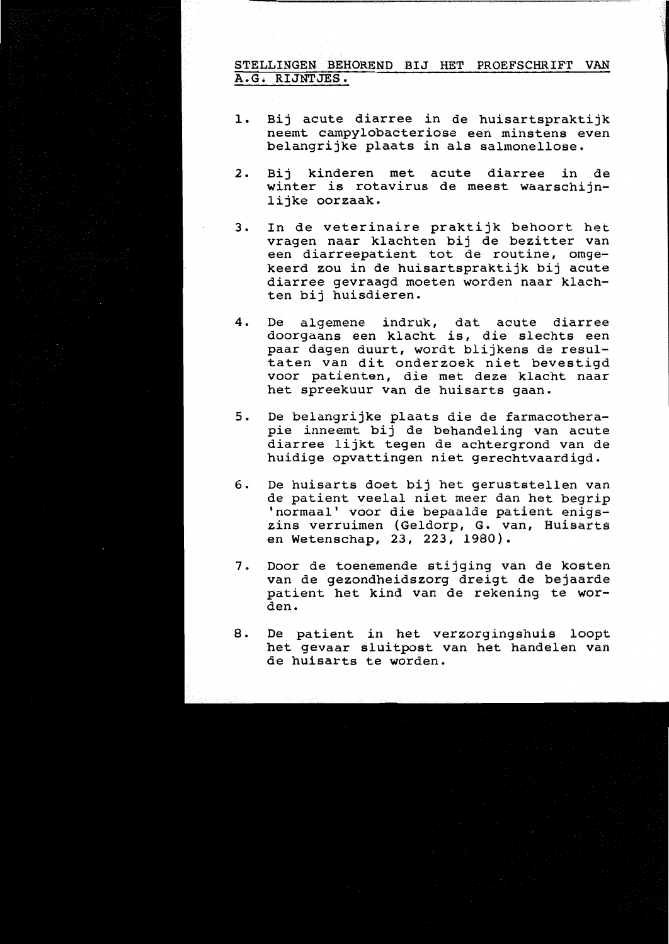## STELLINGEN BEHOREND BIJ HET PROEFSCHRIFT VAN A.G. RIJNTJES.

- Bij acute diarree in de huisartspraktijk 1. neemt campylobacteriose een minstens even belangrijke plaats in als salmonellose.
- Bij kinderen met acute diarree  $2.$ in de winter is rotavirus de meest waarschijnlijke oorzaak.
- In de veterinaire praktijk behoort het 3. vragen naar klachten bij de bezitter van een diarreepatient tot de routine, omgekeerd zou in de huisartspraktijk bij acute diarree gevraagd moeten worden naar klachten bij huisdieren.
- De algemene indruk, dat acute diarree 4. doorgaans een klacht is, die slechts een paar dagen duurt, wordt blijkens de resultaten van dit onderzoek niet bevestigd voor patienten, die met deze klacht naar het spreekuur van de huisarts gaan.
- De belangrijke plaats die de farmacothera- $5.$ pie inneemt bij de behandeling van acute diarree lijkt tegen de achtergrond van de huidige opvattingen niet gerechtvaardigd.
- De huisarts doet bij het geruststellen van 6. de patient veelal niet meer dan het begrip 'normaal' voor die bepaalde patient enigszins verruimen (Geldorp, G. van, Huisarts<br>en Wetenschap, 23, 223, 1980).
- Door de toenemende stijging van de kosten  $7.$ van de gezondheidszorg dreigt de bejaarde patient het kind van de rekening te worden.
- De patient in het verzorgingshuis loopt 8. het gevaar sluitpost van het handelen van de huisarts te worden.